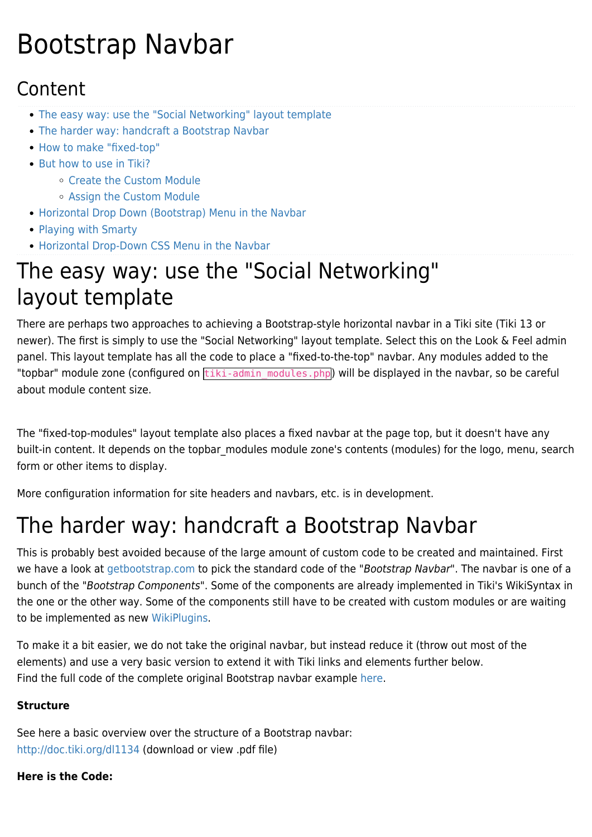# Bootstrap Navbar

### Content

- [The easy way: use the "Social Networking" layout template](#page--1-0)
- [The harder way: handcraft a Bootstrap Navbar](#page--1-0)
- [How to make "fixed-top"](#page--1-0)
- [But how to use in Tiki?](#page--1-0)
	- [Create the Custom Module](#page--1-0)
	- [Assign the Custom Module](#page--1-0)
- [Horizontal Drop Down \(Bootstrap\) Menu in the Navbar](#page--1-0)
- [Playing with Smarty](#page--1-0)
- [Horizontal Drop-Down CSS Menu in the Navbar](#page--1-0)

# The easy way: use the "Social Networking" layout template

There are perhaps two approaches to achieving a Bootstrap-style horizontal navbar in a Tiki site (Tiki 13 or newer). The first is simply to use the "Social Networking" layout template. Select this on the Look & Feel admin panel. This layout template has all the code to place a "fixed-to-the-top" navbar. Any modules added to the "topbar" module zone (configured on  $\overline{\text{tiki-admin}}$  modules.php) will be displayed in the navbar, so be careful about module content size.

The "fixed-top-modules" layout template also places a fixed navbar at the page top, but it doesn't have any built-in content. It depends on the topbar modules module zone's contents (modules) for the logo, menu, search form or other items to display.

More configuration information for site headers and navbars, etc. is in development.

# The harder way: handcraft a Bootstrap Navbar

This is probably best avoided because of the large amount of custom code to be created and maintained. First we have a look at [getbootstrap.com](http://getbootstrap.com) to pick the standard code of the "Bootstrap Navbar". The navbar is one of a bunch of the ["Bootstrap Components](https://doc.tiki.org/tiki-editpage.php?page=Bootstrap+Components)". Some of the components are already implemented in Tiki's WikiSyntax in the one or the other way. Some of the components still have to be created with custom modules or are waiting to be implemented as new [WikiPlugins](https://doc.tiki.org/WikiPlugins).

To make it a bit easier, we do not take the original navbar, but instead reduce it (throw out most of the elements) and use a very basic version to extend it with Tiki links and elements further below. Find the full code of the complete original Bootstrap navbar example [here](http://getbootstrap.com/components/#navbar).

#### **Structure**

See here a basic overview over the structure of a Bootstrap navbar: <http://doc.tiki.org/dl1134>(download or view .pdf file)

#### **Here is the Code:**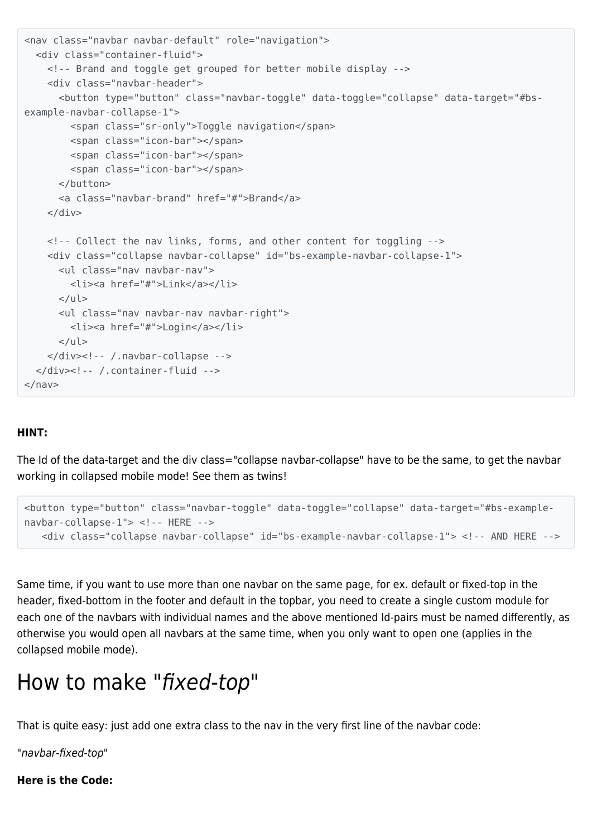```
<nav class="navbar navbar-default" role="navigation">
   <div class="container-fluid">
     <!-- Brand and toggle get grouped for better mobile display -->
     <div class="navbar-header">
       <button type="button" class="navbar-toggle" data-toggle="collapse" data-target="#bs-
example-navbar-collapse-1">
         <span class="sr-only">Toggle navigation</span>
         <span class="icon-bar"></span>
         <span class="icon-bar"></span>
         <span class="icon-bar"></span>
       </button>
       <a class="navbar-brand" href="#">Brand</a>
    \langlediv> <!-- Collect the nav links, forms, and other content for toggling -->
     <div class="collapse navbar-collapse" id="bs-example-navbar-collapse-1">
       <ul class="nav navbar-nav">
         <li><a href="#">Link</a></li>
      \langle/ul\rangle <ul class="nav navbar-nav navbar-right">
         <li><a href="#">Login</a></li>
      \langleul>
     </div><!-- /.navbar-collapse -->
   </div><!-- /.container-fluid -->
</nav>
```
#### **HINT:**

The Id of the data-target and the div class="collapse navbar-collapse" have to be the same, to get the navbar working in collapsed mobile mode! See them as twins!

```
<button type="button" class="navbar-toggle" data-toggle="collapse" data-target="#bs-example-
navbar-collapse-1"> <!-- HERE -->
    <div class="collapse navbar-collapse" id="bs-example-navbar-collapse-1"> <!-- AND HERE -->
```
Same time, if you want to use more than one navbar on the same page, for ex. default or fixed-top in the header, fixed-bottom in the footer and default in the topbar, you need to create a single custom module for each one of the navbars with individual names and the above mentioned Id-pairs must be named differently, as otherwise you would open all navbars at the same time, when you only want to open one (applies in the collapsed mobile mode).

### How to make "fixed-top"

That is quite easy: just add one extra class to the nav in the very first line of the navbar code:

"navbar-fixed-top"

**Here is the Code:**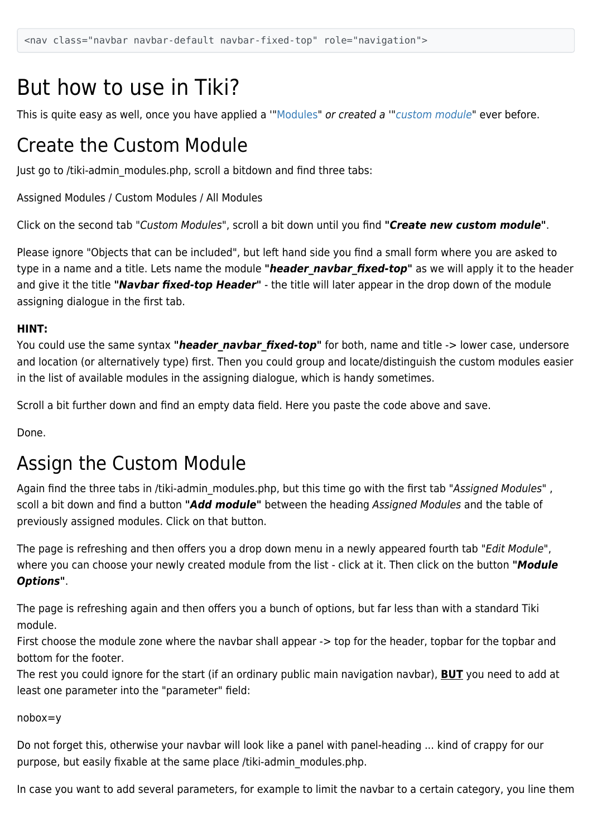### But how to use in Tiki?

This is quite easy as well, once you have applied a ["Modules"](https://doc.tiki.org/Modules) or created a ["custom module"](https://doc.tiki.org/User-Modules) ever before.

### Create the Custom Module

Just go to /tiki-admin\_modules.php, scroll a bitdown and find three tabs:

Assigned Modules / Custom Modules / All Modules

Click on the second tab "Custom Modules", scroll a bit down until you find *"Create new custom module"*.

Please ignore "Objects that can be included", but left hand side you find a small form where you are asked to type in a name and a title. Lets name the module "header navbar fixed-top" as we will apply it to the header and give it the title *"Navbar fixed-top Header"* - the title will later appear in the drop down of the module assigning dialogue in the first tab.

#### **HINT:**

You could use the same syntax "**header navbar fixed-top**" for both, name and title -> lower case, undersore and location (or alternatively type) first. Then you could group and locate/distinguish the custom modules easier in the list of available modules in the assigning dialogue, which is handy sometimes.

Scroll a bit further down and find an empty data field. Here you paste the code above and save.

Done.

### Assign the Custom Module

Again find the three tabs in /tiki-admin modules.php, but this time go with the first tab "Assigned Modules", scoll a bit down and find a button *"Add module"* between the heading Assigned Modules and the table of previously assigned modules. Click on that button.

The page is refreshing and then offers you a drop down menu in a newly appeared fourth tab "Edit Module", where you can choose your newly created module from the list - click at it. Then click on the button *"Module Options"*.

The page is refreshing again and then offers you a bunch of options, but far less than with a standard Tiki module.

First choose the module zone where the navbar shall appear -> top for the header, topbar for the topbar and bottom for the footer.

The rest you could ignore for the start (if an ordinary public main navigation navbar), **BUT** you need to add at least one parameter into the "parameter" field:

nobox=y

Do not forget this, otherwise your navbar will look like a panel with panel-heading ... kind of crappy for our purpose, but easily fixable at the same place /tiki-admin\_modules.php.

In case you want to add several parameters, for example to limit the navbar to a certain category, you line them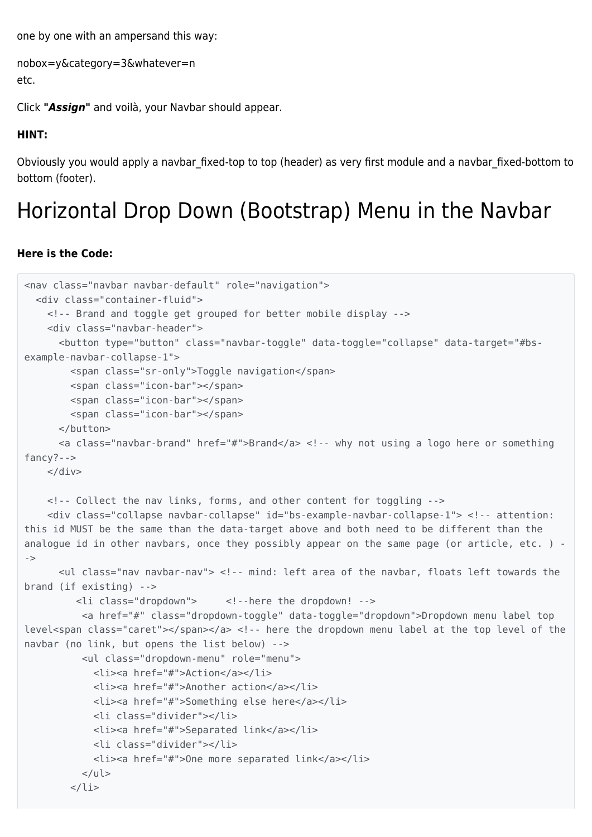one by one with an ampersand this way:

```
nobox=y&category=3&whatever=n
etc.
```
Click *"Assign"* and voilà, your Navbar should appear.

#### **HINT:**

Obviously you would apply a navbar\_fixed-top to top (header) as very first module and a navbar\_fixed-bottom to bottom (footer).

# Horizontal Drop Down (Bootstrap) Menu in the Navbar

#### **Here is the Code:**

```
<nav class="navbar navbar-default" role="navigation">
   <div class="container-fluid">
     <!-- Brand and toggle get grouped for better mobile display -->
     <div class="navbar-header">
       <button type="button" class="navbar-toggle" data-toggle="collapse" data-target="#bs-
example-navbar-collapse-1">
         <span class="sr-only">Toggle navigation</span>
        <span class="icon-bar"></span>
         <span class="icon-bar"></span>
         <span class="icon-bar"></span>
       </button>
       <a class="navbar-brand" href="#">Brand</a> <!-- why not using a logo here or something
fancy?-->
   \langlediv> <!-- Collect the nav links, forms, and other content for toggling -->
     <div class="collapse navbar-collapse" id="bs-example-navbar-collapse-1"> <!-- attention:
this id MUST be the same than the data-target above and both need to be different than the
analogue id in other navbars, once they possibly appear on the same page (or article, etc. ) -
->
       <ul class="nav navbar-nav"> <!-- mind: left area of the navbar, floats left towards the
brand (if existing) -->
          <li class="dropdown"> <!--here the dropdown! -->
           <a href="#" class="dropdown-toggle" data-toggle="dropdown">Dropdown menu label top
level<span class="caret"></span></a> <!-- here the dropdown menu label at the top level of the
navbar (no link, but opens the list below) -->
           <ul class="dropdown-menu" role="menu">
             <li><a href="#">Action</a></li>
             <li><a href="#">Another action</a></li>
             <li><a href="#">Something else here</a></li>
             <li class="divider"></li>
             <li><a href="#">Separated link</a></li>
             <li class="divider"></li>
             <li><a href="#">One more separated link</a></li>
          \langleul>
        \langleli>
```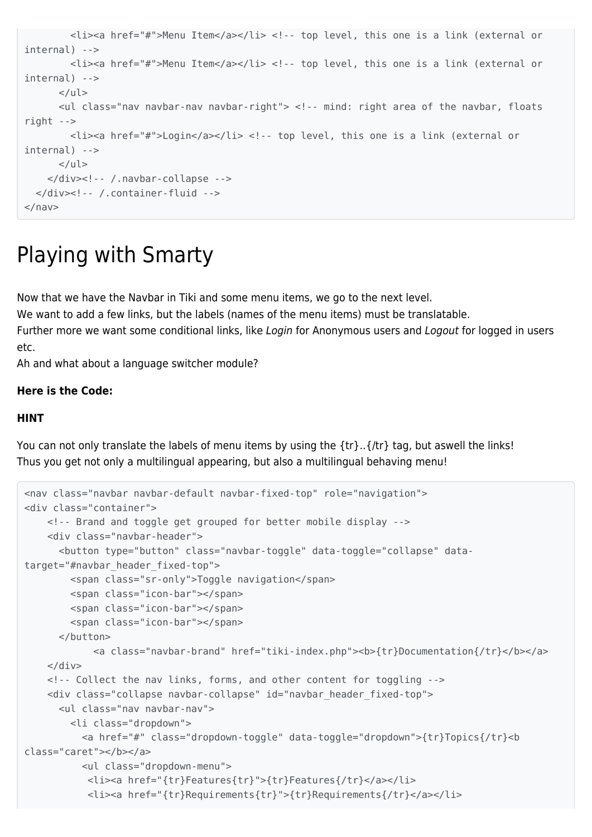```
 <li><a href="#">Menu Item</a></li> <!-- top level, this one is a link (external or
internal) -->
         <li><a href="#">Menu Item</a></li> <!-- top level, this one is a link (external or
internal) -->
     \langleul>
       <ul class="nav navbar-nav navbar-right"> <!-- mind: right area of the navbar, floats
right -->
        <li><a href="#">Login</a></li> <!-- top level, this one is a link (external or
internal) -->
      \langleul>
     </div><!-- /.navbar-collapse -->
   </div><!-- /.container-fluid -->
</nav>
```
# Playing with Smarty

Now that we have the Navbar in Tiki and some menu items, we go to the next level.

We want to add a few links, but the labels (names of the menu items) must be translatable.

Further more we want some conditional links, like Login for Anonymous users and Logout for logged in users etc.

Ah and what about a language switcher module?

#### **Here is the Code:**

#### **HINT**

You can not only translate the labels of menu items by using the {tr}..{/tr} tag, but aswell the links! Thus you get not only a multilingual appearing, but also a multilingual behaving menu!

```
<nav class="navbar navbar-default navbar-fixed-top" role="navigation">
<div class="container">
    <!-- Brand and toggle get grouped for better mobile display -->
     <div class="navbar-header">
      <button type="button" class="navbar-toggle" data-toggle="collapse" data-
target="#navbar_header_fixed-top">
        <span class="sr-only">Toggle navigation</span>
        <span class="icon-bar"></span>
        <span class="icon-bar"></span>
        <span class="icon-bar"></span>
      </button>
             <a class="navbar-brand" href="tiki-index.php"><b>{tr}Documentation{/tr}</b></a>
    </div> <!-- Collect the nav links, forms, and other content for toggling -->
    <div class="collapse navbar-collapse" id="navbar_header_fixed-top">
       <ul class="nav navbar-nav">
         <li class="dropdown">
           <a href="#" class="dropdown-toggle" data-toggle="dropdown">{tr}Topics{/tr}<b
class="caret"></b></a>
           <ul class="dropdown-menu">
            <li><a href="{tr}Features{tr}">{tr}Features{/tr}</a></li>
            <li><a href="{tr}Requirements{tr}">{tr}Requirements{/tr}</a></li>
```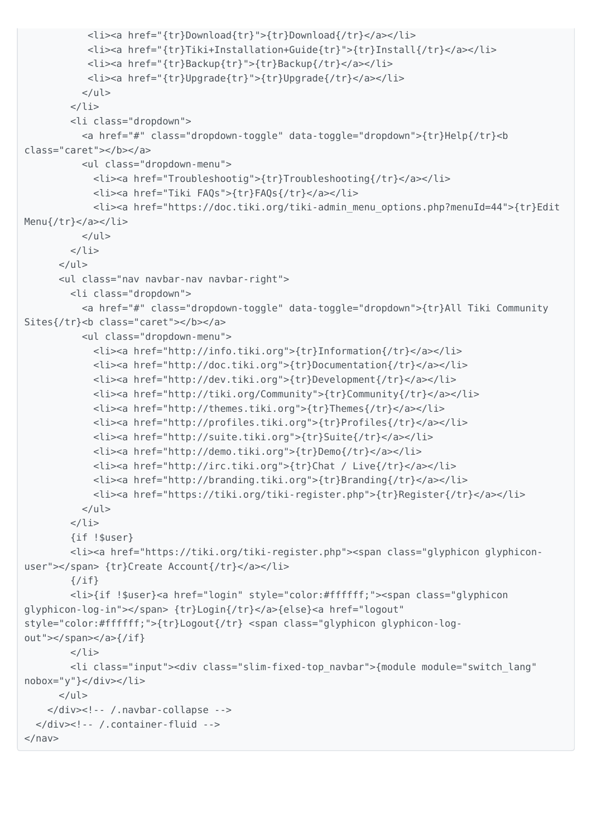```
 <li><a href="{tr}Download{tr}">{tr}Download{/tr}</a></li>
            <li><a href="{tr}Tiki+Installation+Guide{tr}">{tr}Install{/tr}</a></li>
            <li><a href="{tr}Backup{tr}">{tr}Backup{/tr}</a></li>
            <li><a href="{tr}Upgrade{tr}">{tr}Upgrade{/tr}</a></li>
          \langleul>
        \langleli>
         <li class="dropdown">
           <a href="#" class="dropdown-toggle" data-toggle="dropdown">{tr}Help{/tr}<b
class="caret"></b></a>
           <ul class="dropdown-menu">
             <li><a href="Troubleshootig">{tr}Troubleshooting{/tr}</a></li>
             <li><a href="Tiki FAQs">{tr}FAQs{/tr}</a></li>
             <li><a href="https://doc.tiki.org/tiki-admin_menu_options.php?menuId=44">{tr}Edit
Menu{/tr}</a></li>
          \langleul>
        \langleli>
      \langleul>
       <ul class="nav navbar-nav navbar-right">
         <li class="dropdown">
           <a href="#" class="dropdown-toggle" data-toggle="dropdown">{tr}All Tiki Community
Sites{/tr}<br />b class="caret"></b></a>
           <ul class="dropdown-menu">
             <li><a href="http://info.tiki.org">{tr}Information{/tr}</a></li>
             <li><a href="http://doc.tiki.org">{tr}Documentation{/tr}</a></li>
             <li><a href="http://dev.tiki.org">{tr}Development{/tr}</a></li>
             <li><a href="http://tiki.org/Community">{tr}Community{/tr}</a></li>
             <li><a href="http://themes.tiki.org">{tr}Themes{/tr}</a></li>
             <li><a href="http://profiles.tiki.org">{tr}Profiles{/tr}</a></li>
             <li><a href="http://suite.tiki.org">{tr}Suite{/tr}</a></li>
             <li><a href="http://demo.tiki.org">{tr}Demo{/tr}</a></li>
             <li><a href="http://irc.tiki.org">{tr}Chat / Live{/tr}</a></li>
             <li><a href="http://branding.tiki.org">{tr}Branding{/tr}</a></li>
             <li><a href="https://tiki.org/tiki-register.php">{tr}Register{/tr}</a></li>
          \langleul>
         </li>
         {if !$user}
         <li><a href="https://tiki.org/tiki-register.php"><span class="glyphicon glyphicon-
user"></span> {tr}Create Account{/tr}</a></li>
        \{/if\} <li>{if !$user}<a href="login" style="color:#ffffff;"><span class="glyphicon
glyphicon-log-in"></span> {tr}Login{/tr}</a>{else}<a href="logout"
style="color:#ffffff;">{tr}Logout{/tr} <span class="glyphicon glyphicon-log-
out"></span></a>{/if}
        \langleli>
         <li class="input"><div class="slim-fixed-top_navbar">{module module="switch_lang"
nobox="y"}</div></li>
      \langleul>
     </div><!-- /.navbar-collapse -->
   </div><!-- /.container-fluid -->
</nav>
```